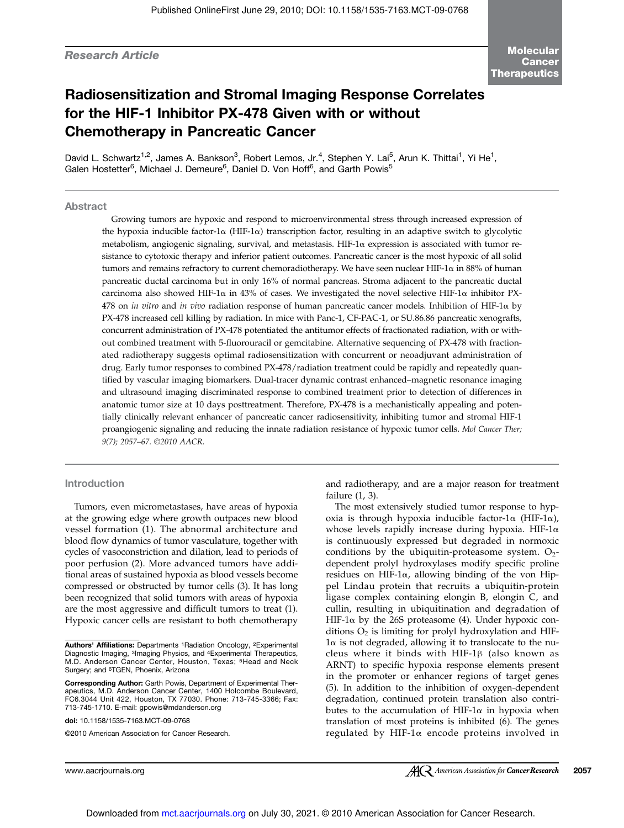# Research Article

# Radiosensitization and Stromal Imaging Response Correlates for the HIF-1 Inhibitor PX-478 Given with or without Chemotherapy in Pancreatic Cancer

David L. Schwartz<sup>1,2</sup>, James A. Bankson<sup>3</sup>, Robert Lemos, Jr.<sup>4</sup>, Stephen Y. Lai<sup>5</sup>, Arun K. Thittai<sup>1</sup>, Yi He<sup>1</sup>, Galen Hostetter<sup>6</sup>, Michael J. Demeure<sup>6</sup>, Daniel D. Von Hoff<sup>6</sup>, and Garth Powis<sup>5</sup>

# Abstract

Growing tumors are hypoxic and respond to microenvironmental stress through increased expression of the hypoxia inducible factor-1 $\alpha$  (HIF-1 $\alpha$ ) transcription factor, resulting in an adaptive switch to glycolytic metabolism, angiogenic signaling, survival, and metastasis. HIF-1 $\alpha$  expression is associated with tumor resistance to cytotoxic therapy and inferior patient outcomes. Pancreatic cancer is the most hypoxic of all solid tumors and remains refractory to current chemoradiotherapy. We have seen nuclear HIF-1α in 88% of human pancreatic ductal carcinoma but in only 16% of normal pancreas. Stroma adjacent to the pancreatic ductal carcinoma also showed HIF-1 $\alpha$  in 43% of cases. We investigated the novel selective HIF-1 $\alpha$  inhibitor PX-478 on in vitro and in vivo radiation response of human pancreatic cancer models. Inhibition of HIF-1 $\alpha$  by PX-478 increased cell killing by radiation. In mice with Panc-1, CF-PAC-1, or SU.86.86 pancreatic xenografts, concurrent administration of PX-478 potentiated the antitumor effects of fractionated radiation, with or without combined treatment with 5-fluorouracil or gemcitabine. Alternative sequencing of PX-478 with fractionated radiotherapy suggests optimal radiosensitization with concurrent or neoadjuvant administration of drug. Early tumor responses to combined PX-478/radiation treatment could be rapidly and repeatedly quantified by vascular imaging biomarkers. Dual-tracer dynamic contrast enhanced–magnetic resonance imaging and ultrasound imaging discriminated response to combined treatment prior to detection of differences in anatomic tumor size at 10 days posttreatment. Therefore, PX-478 is a mechanistically appealing and potentially clinically relevant enhancer of pancreatic cancer radiosensitivity, inhibiting tumor and stromal HIF-1 proangiogenic signaling and reducing the innate radiation resistance of hypoxic tumor cells. Mol Cancer Ther; 9(7); 2057–67. ©2010 AACR.

# Introduction

Tumors, even micrometastases, have areas of hypoxia at the growing edge where growth outpaces new blood vessel formation (1). The abnormal architecture and blood flow dynamics of tumor vasculature, together with cycles of vasoconstriction and dilation, lead to periods of poor perfusion (2). More advanced tumors have additional areas of sustained hypoxia as blood vessels become compressed or obstructed by tumor cells (3). It has long been recognized that solid tumors with areas of hypoxia are the most aggressive and difficult tumors to treat (1). Hypoxic cancer cells are resistant to both chemotherapy

doi: 10.1158/1535-7163.MCT-09-0768

and radiotherapy, and are a major reason for treatment failure (1, 3).

The most extensively studied tumor response to hypoxia is through hypoxia inducible factor-1α (HIF-1α), whose levels rapidly increase during hypoxia. HIF-1α is continuously expressed but degraded in normoxic conditions by the ubiquitin-proteasome system.  $O_2$ dependent prolyl hydroxylases modify specific proline residues on HIF-1 $\alpha$ , allowing binding of the von Hippel Lindau protein that recruits a ubiquitin-protein ligase complex containing elongin B, elongin C, and cullin, resulting in ubiquitination and degradation of HIF-1 $α$  by the 26S proteasome (4). Under hypoxic conditions  $O_2$  is limiting for prolyl hydroxylation and HIF-1α is not degraded, allowing it to translocate to the nucleus where it binds with HIF-1β (also known as ARNT) to specific hypoxia response elements present in the promoter or enhancer regions of target genes (5). In addition to the inhibition of oxygen-dependent degradation, continued protein translation also contributes to the accumulation of HIF-1 $\alpha$  in hypoxia when translation of most proteins is inhibited (6). The genes regulated by HIF-1α encode proteins involved in

Authors' Affiliations: Departments <sup>1</sup>Radiation Oncology, <sup>2</sup>Experimental Diagnostic Imaging, 3Imaging Physics, and 4Experimental Therapeutics, M.D. Anderson Cancer Center, Houston, Texas; 5Head and Neck Surgery; and 6TGEN, Phoenix, Arizona

Corresponding Author: Garth Powis, Department of Experimental Therapeutics, M.D. Anderson Cancer Center, 1400 Holcombe Boulevard, FC6.3044 Unit 422, Houston, TX 77030. Phone: 713-745-3366; Fax: 713-745-1710. E-mail: gpowis@mdanderson.org

<sup>©2010</sup> American Association for Cancer Research.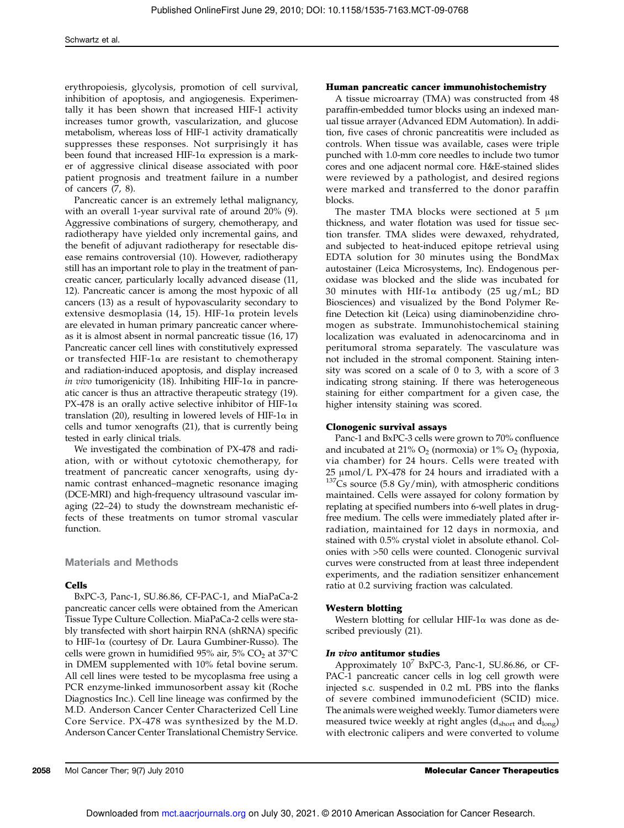erythropoiesis, glycolysis, promotion of cell survival, inhibition of apoptosis, and angiogenesis. Experimentally it has been shown that increased HIF-1 activity increases tumor growth, vascularization, and glucose metabolism, whereas loss of HIF-1 activity dramatically suppresses these responses. Not surprisingly it has been found that increased HIF-1α expression is a marker of aggressive clinical disease associated with poor patient prognosis and treatment failure in a number of cancers (7, 8).

Pancreatic cancer is an extremely lethal malignancy, with an overall 1-year survival rate of around 20% (9). Aggressive combinations of surgery, chemotherapy, and radiotherapy have yielded only incremental gains, and the benefit of adjuvant radiotherapy for resectable disease remains controversial (10). However, radiotherapy still has an important role to play in the treatment of pancreatic cancer, particularly locally advanced disease (11, 12). Pancreatic cancer is among the most hypoxic of all cancers (13) as a result of hypovascularity secondary to extensive desmoplasia (14, 15). HIF-1 $\alpha$  protein levels are elevated in human primary pancreatic cancer whereas it is almost absent in normal pancreatic tissue (16, 17) Pancreatic cancer cell lines with constitutively expressed or transfected HIF-1α are resistant to chemotherapy and radiation-induced apoptosis, and display increased in vivo tumorigenicity (18). Inhibiting HIF-1 $\alpha$  in pancreatic cancer is thus an attractive therapeutic strategy (19). PX-478 is an orally active selective inhibitor of HIF-1 $\alpha$ translation (20), resulting in lowered levels of HIF-1α in cells and tumor xenografts (21), that is currently being tested in early clinical trials.

We investigated the combination of PX-478 and radiation, with or without cytotoxic chemotherapy, for treatment of pancreatic cancer xenografts, using dynamic contrast enhanced–magnetic resonance imaging (DCE-MRI) and high-frequency ultrasound vascular imaging (22–24) to study the downstream mechanistic effects of these treatments on tumor stromal vascular function.

Materials and Methods

# Cells

BxPC-3, Panc-1, SU.86.86, CF-PAC-1, and MiaPaCa-2 pancreatic cancer cells were obtained from the American Tissue Type Culture Collection. MiaPaCa-2 cells were stably transfected with short hairpin RNA (shRNA) specific to HIF-1α (courtesy of Dr. Laura Gumbiner-Russo). The cells were grown in humidified 95% air, 5%  $CO<sub>2</sub>$  at 37 $°C$ in DMEM supplemented with 10% fetal bovine serum. All cell lines were tested to be mycoplasma free using a PCR enzyme-linked immunosorbent assay kit (Roche Diagnostics Inc.). Cell line lineage was confirmed by the M.D. Anderson Cancer Center Characterized Cell Line Core Service. PX-478 was synthesized by the M.D. Anderson Cancer Center Translational Chemistry Service.

#### Human pancreatic cancer immunohistochemistry

A tissue microarray (TMA) was constructed from 48 paraffin-embedded tumor blocks using an indexed manual tissue arrayer (Advanced EDM Automation). In addition, five cases of chronic pancreatitis were included as controls. When tissue was available, cases were triple punched with 1.0-mm core needles to include two tumor cores and one adjacent normal core. H&E-stained slides were reviewed by a pathologist, and desired regions were marked and transferred to the donor paraffin blocks.

The master TMA blocks were sectioned at  $5 \mu m$ thickness, and water flotation was used for tissue section transfer. TMA slides were dewaxed, rehydrated, and subjected to heat-induced epitope retrieval using EDTA solution for 30 minutes using the BondMax autostainer (Leica Microsystems, Inc). Endogenous peroxidase was blocked and the slide was incubated for 30 minutes with HIf-1 $\alpha$  antibody (25 ug/mL; BD Biosciences) and visualized by the Bond Polymer Refine Detection kit (Leica) using diaminobenzidine chromogen as substrate. Immunohistochemical staining localization was evaluated in adenocarcinoma and in peritumoral stroma separately. The vasculature was not included in the stromal component. Staining intensity was scored on a scale of 0 to 3, with a score of 3 indicating strong staining. If there was heterogeneous staining for either compartment for a given case, the higher intensity staining was scored.

#### Clonogenic survival assays

Panc-1 and BxPC-3 cells were grown to 70% confluence and incubated at 21%  $O_2$  (normoxia) or 1%  $O_2$  (hypoxia, via chamber) for 24 hours. Cells were treated with 25 μmol/L PX-478 for 24 hours and irradiated with a  $137$ Cs source (5.8 Gy/min), with atmospheric conditions maintained. Cells were assayed for colony formation by replating at specified numbers into 6-well plates in drugfree medium. The cells were immediately plated after irradiation, maintained for 12 days in normoxia, and stained with 0.5% crystal violet in absolute ethanol. Colonies with >50 cells were counted. Clonogenic survival curves were constructed from at least three independent experiments, and the radiation sensitizer enhancement ratio at 0.2 surviving fraction was calculated.

# Western blotting

Western blotting for cellular HIF-1 $\alpha$  was done as described previously (21).

#### In vivo antitumor studies

Approximately  $10^7$  BxPC-3, Panc-1, SU.86.86, or CF-PAC-1 pancreatic cancer cells in log cell growth were injected s.c. suspended in 0.2 mL PBS into the flanks of severe combined immunodeficient (SCID) mice. The animals were weighed weekly. Tumor diameters were measured twice weekly at right angles  $(d_{short}$  and  $d_{long})$ with electronic calipers and were converted to volume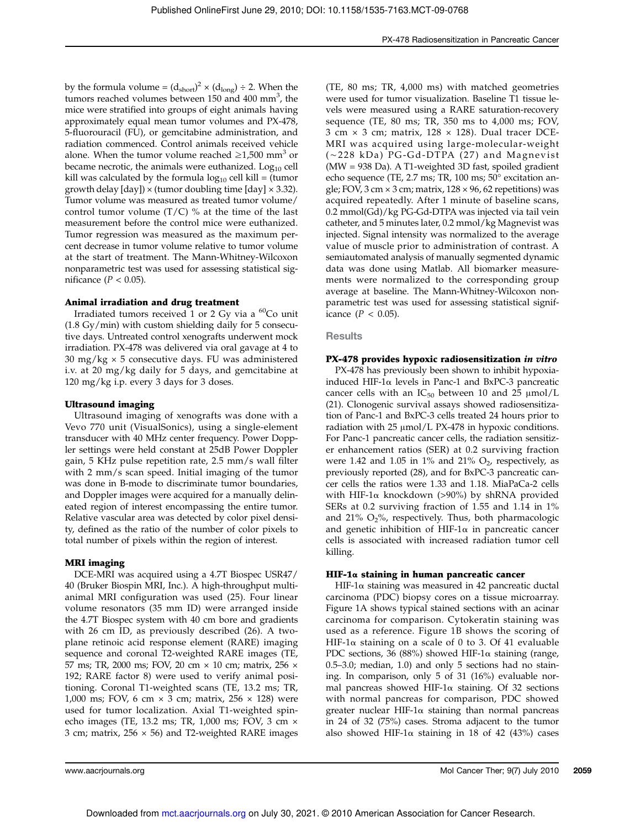by the formula volume =  $(d_{short})^2 \times (d_{long}) \div 2$ . When the tumors reached volumes between 150 and 400 mm<sup>3</sup>, the mice were stratified into groups of eight animals having approximately equal mean tumor volumes and PX-478, 5-fluorouracil (FU), or gemcitabine administration, and radiation commenced. Control animals received vehicle alone. When the tumor volume reached  $\geq$ 1,500 mm<sup>3</sup> or became necrotic, the animals were euthanized. Log<sub>10</sub> cell kill was calculated by the formula  $log_{10}$  cell kill = (tumor growth delay  $[day] \times ($ tumor doubling time  $[day] \times 3.32$ ). Tumor volume was measured as treated tumor volume/ control tumor volume  $(T/C)$  % at the time of the last measurement before the control mice were euthanized. Tumor regression was measured as the maximum percent decrease in tumor volume relative to tumor volume at the start of treatment. The Mann-Whitney-Wilcoxon nonparametric test was used for assessing statistical significance ( $P < 0.05$ ).

# Animal irradiation and drug treatment

Irradiated tumors received  $1$  or  $2$  Gy via a  $^{60}$ Co unit (1.8 Gy/min) with custom shielding daily for 5 consecutive days. Untreated control xenografts underwent mock irradiation. PX-478 was delivered via oral gavage at 4 to 30 mg/kg  $\times$  5 consecutive days. FU was administered i.v. at 20 mg/kg daily for 5 days, and gemcitabine at 120 mg/kg i.p. every 3 days for 3 doses.

# Ultrasound imaging

Ultrasound imaging of xenografts was done with a Vevo 770 unit (VisualSonics), using a single-element transducer with 40 MHz center frequency. Power Doppler settings were held constant at 25dB Power Doppler gain, 5 KHz pulse repetition rate, 2.5 mm/s wall filter with 2 mm/s scan speed. Initial imaging of the tumor was done in B-mode to discriminate tumor boundaries, and Doppler images were acquired for a manually delineated region of interest encompassing the entire tumor. Relative vascular area was detected by color pixel density, defined as the ratio of the number of color pixels to total number of pixels within the region of interest.

# MRI imaging

DCE-MRI was acquired using a 4.7T Biospec USR47/ 40 (Bruker Biospin MRI, Inc.). A high-throughput multianimal MRI configuration was used (25). Four linear volume resonators (35 mm ID) were arranged inside the 4.7T Biospec system with 40 cm bore and gradients with 26 cm ID, as previously described (26). A twoplane retinoic acid response element (RARE) imaging sequence and coronal T2-weighted RARE images (TE, 57 ms; TR, 2000 ms; FOV, 20 cm × 10 cm; matrix, 256 × 192; RARE factor 8) were used to verify animal positioning. Coronal T1-weighted scans (TE, 13.2 ms; TR, 1,000 ms; FOV, 6 cm  $\times$  3 cm; matrix, 256  $\times$  128) were used for tumor localization. Axial T1-weighted spinecho images (TE, 13.2 ms; TR, 1,000 ms; FOV, 3 cm × 3 cm; matrix,  $256 \times 56$ ) and T2-weighted RARE images

(TE, 80 ms; TR, 4,000 ms) with matched geometries were used for tumor visualization. Baseline T1 tissue levels were measured using a RARE saturation-recovery sequence (TE, 80 ms; TR, 350 ms to 4,000 ms; FOV, 3 cm  $\times$  3 cm; matrix, 128  $\times$  128). Dual tracer DCE-MRI was acquired using large-molecular-weight (~228 kDa) PG-Gd-DTPA (27) and Magnevist (MW = 938 Da). A T1-weighted 3D fast, spoiled gradient echo sequence (TE, 2.7 ms; TR, 100 ms; 50° excitation angle; FOV,  $3 \text{ cm} \times 3 \text{ cm}$ ; matrix,  $128 \times 96$ ,  $62$  repetitions) was acquired repeatedly. After 1 minute of baseline scans, 0.2 mmol(Gd)/kg PG-Gd-DTPA was injected via tail vein catheter, and 5 minutes later, 0.2 mmol/kg Magnevist was injected. Signal intensity was normalized to the average value of muscle prior to administration of contrast. A semiautomated analysis of manually segmented dynamic data was done using Matlab. All biomarker measurements were normalized to the corresponding group average at baseline. The Mann-Whitney-Wilcoxon nonparametric test was used for assessing statistical significance  $(P < 0.05)$ .

# **Results**

# PX-478 provides hypoxic radiosensitization in vitro

PX-478 has previously been shown to inhibit hypoxiainduced HIF-1α levels in Panc-1 and BxPC-3 pancreatic cancer cells with an  $IC_{50}$  between 10 and 25  $\mu$ mol/L (21). Clonogenic survival assays showed radiosensitization of Panc-1 and BxPC-3 cells treated 24 hours prior to radiation with 25 μmol/L PX-478 in hypoxic conditions. For Panc-1 pancreatic cancer cells, the radiation sensitizer enhancement ratios (SER) at 0.2 surviving fraction were 1.42 and 1.05 in 1% and 21%  $\rm O_2$ , respectively, as previously reported (28), and for BxPC-3 pancreatic cancer cells the ratios were 1.33 and 1.18. MiaPaCa-2 cells with HIF-1 $\alpha$  knockdown (>90%) by shRNA provided SERs at 0.2 surviving fraction of 1.55 and 1.14 in 1% and 21%  $O_2$ %, respectively. Thus, both pharmacologic and genetic inhibition of HIF-1 $\alpha$  in pancreatic cancer cells is associated with increased radiation tumor cell killing.

# HIF-1α staining in human pancreatic cancer

HIF-1 $\alpha$  staining was measured in 42 pancreatic ductal carcinoma (PDC) biopsy cores on a tissue microarray. Figure 1A shows typical stained sections with an acinar carcinoma for comparison. Cytokeratin staining was used as a reference. Figure 1B shows the scoring of HIF-1α staining on a scale of 0 to 3. Of 41 evaluable PDC sections, 36 (88%) showed HIF-1 $\alpha$  staining (range, 0.5–3.0; median, 1.0) and only 5 sections had no staining. In comparison, only 5 of 31 (16%) evaluable normal pancreas showed HIF-1 $\alpha$  staining. Of 32 sections with normal pancreas for comparison, PDC showed greater nuclear HIF-1α staining than normal pancreas in 24 of 32 (75%) cases. Stroma adjacent to the tumor also showed HIF-1 $\alpha$  staining in 18 of 42 (43%) cases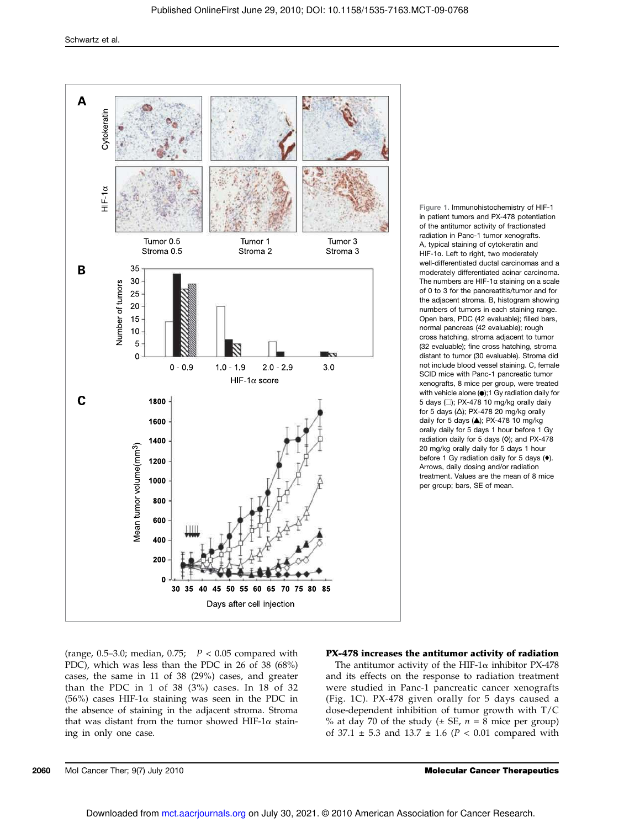

Figure 1. Immunohistochemistry of HIF-1 in patient tumors and PX-478 potentiation of the antitumor activity of fractionated radiation in Panc-1 tumor xenografts. A, typical staining of cytokeratin and HIF-1α. Left to right, two moderately well-differentiated ductal carcinomas and a moderately differentiated acinar carcinoma. The numbers are HIF-1α staining on a scale of 0 to 3 for the pancreatitis/tumor and for the adjacent stroma. B, histogram showing numbers of tumors in each staining range. Open bars, PDC (42 evaluable); filled bars, normal pancreas (42 evaluable); rough cross hatching, stroma adjacent to tumor (32 evaluable); fine cross hatching, stroma distant to tumor (30 evaluable). Stroma did not include blood vessel staining. C, female SCID mice with Panc-1 pancreatic tumor xenografts, 8 mice per group, were treated with vehicle alone  $\left( \bullet \right)$ ;1 Gy radiation daily for 5 days (□); PX-478 10 mg/kg orally daily for 5 days ( $\Delta$ ); PX-478 20 mg/kg orally daily for 5 days (▴); PX-478 10 mg/kg orally daily for 5 days 1 hour before 1 Gy radiation daily for 5 days ( $\diamond$ ); and PX-478 20 mg/kg orally daily for 5 days 1 hour before 1 Gy radiation daily for 5 days (♦). Arrows, daily dosing and/or radiation treatment. Values are the mean of 8 mice per group; bars, SE of mean.

(range, 0.5–3.0; median, 0.75;  $P < 0.05$  compared with PDC), which was less than the PDC in 26 of 38 (68%) cases, the same in 11 of 38 (29%) cases, and greater than the PDC in 1 of 38 (3%) cases. In 18 of 32 (56%) cases HIF-1α staining was seen in the PDC in the absence of staining in the adjacent stroma. Stroma that was distant from the tumor showed HIF-1α staining in only one case.

# PX-478 increases the antitumor activity of radiation

The antitumor activity of the HIF-1 $\alpha$  inhibitor PX-478 and its effects on the response to radiation treatment were studied in Panc-1 pancreatic cancer xenografts (Fig. 1C). PX-478 given orally for 5 days caused a dose-dependent inhibition of tumor growth with T/C % at day 70 of the study ( $\pm$  SE,  $n = 8$  mice per group) of 37.1  $\pm$  5.3 and 13.7  $\pm$  1.6 (P < 0.01 compared with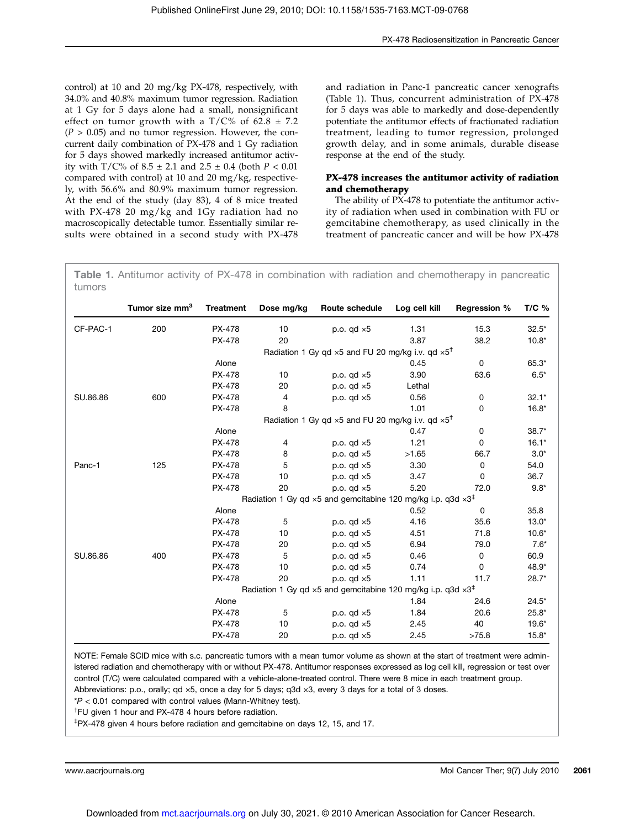control) at 10 and 20 mg/kg PX-478, respectively, with 34.0% and 40.8% maximum tumor regression. Radiation at 1 Gy for 5 days alone had a small, nonsignificant effect on tumor growth with a  $T/C$ % of 62.8  $\pm$  7.2  $(P > 0.05)$  and no tumor regression. However, the concurrent daily combination of PX-478 and 1 Gy radiation for 5 days showed markedly increased antitumor activity with T/C% of  $8.5 \pm 2.1$  and  $2.5 \pm 0.4$  (both  $P < 0.01$ compared with control) at 10 and 20 mg/kg, respectively, with 56.6% and 80.9% maximum tumor regression. At the end of the study (day 83), 4 of 8 mice treated with PX-478 20 mg/kg and 1Gy radiation had no macroscopically detectable tumor. Essentially similar results were obtained in a second study with PX-478 and radiation in Panc-1 pancreatic cancer xenografts (Table 1). Thus, concurrent administration of PX-478 for 5 days was able to markedly and dose-dependently potentiate the antitumor effects of fractionated radiation treatment, leading to tumor regression, prolonged growth delay, and in some animals, durable disease response at the end of the study.

# PX-478 increases the antitumor activity of radiation and chemotherapy

The ability of PX-478 to potentiate the antitumor activity of radiation when used in combination with FU or gemcitabine chemotherapy, as used clinically in the treatment of pancreatic cancer and will be how PX-478

Table 1. Antitumor activity of PX-478 in combination with radiation and chemotherapy in pancreatic tumors

|          | Tumor size mm <sup>3</sup>                                                              | <b>Treatment</b>                                                                        | Dose mg/kg | Route schedule     | Log cell kill | <b>Regression %</b> | $T/C$ % |  |
|----------|-----------------------------------------------------------------------------------------|-----------------------------------------------------------------------------------------|------------|--------------------|---------------|---------------------|---------|--|
| CF-PAC-1 | 200                                                                                     | PX-478                                                                                  | 10         | p.o. $qd \times 5$ | 1.31          | 15.3                | $32.5*$ |  |
|          |                                                                                         | PX-478                                                                                  | 20         |                    | 3.87          | 38.2                | $10.8*$ |  |
|          |                                                                                         | Radiation 1 Gy qd $\times$ 5 and FU 20 mg/kg i.v. qd $\times$ 5 <sup>†</sup>            |            |                    |               |                     |         |  |
|          |                                                                                         | Alone                                                                                   |            |                    | 0.45          | $\mathbf 0$         | $65.3*$ |  |
|          |                                                                                         | <b>PX-478</b>                                                                           | 10         | p.o. $qd \times 5$ | 3.90          | 63.6                | $6.5*$  |  |
|          |                                                                                         | PX-478                                                                                  | 20         | p.o. $qd \times 5$ | Lethal        |                     |         |  |
| SU.86.86 | 600                                                                                     | PX-478                                                                                  | 4          | p.o. $qd \times 5$ | 0.56          | 0                   | $32.1*$ |  |
|          |                                                                                         | PX-478                                                                                  | 8          |                    | 1.01          | 0                   | $16.8*$ |  |
|          |                                                                                         | Radiation 1 Gy gd $\times$ 5 and FU 20 mg/kg i.v. gd $\times$ 5 <sup>†</sup>            |            |                    |               |                     |         |  |
|          |                                                                                         | Alone                                                                                   |            |                    | 0.47          | 0                   | $38.7*$ |  |
|          |                                                                                         | PX-478                                                                                  | 4          | p.o. $qd \times 5$ | 1.21          | 0                   | $16.1*$ |  |
|          |                                                                                         | PX-478                                                                                  | 8          | p.o. $qd \times 5$ | >1.65         | 66.7                | $3.0*$  |  |
| Panc-1   | 125                                                                                     | PX-478                                                                                  | 5          | p.o. $qd \times 5$ | 3.30          | 0                   | 54.0    |  |
|          |                                                                                         | PX-478                                                                                  | 10         | p.o. $qd \times 5$ | 3.47          | 0                   | 36.7    |  |
|          |                                                                                         | PX-478                                                                                  | 20         | p.o. $qd \times 5$ | 5.20          | 72.0                | $9.8*$  |  |
|          | Radiation 1 Gy qd $\times$ 5 and gemcitabine 120 mg/kg i.p. q3d $\times$ 3 <sup>‡</sup> |                                                                                         |            |                    |               |                     |         |  |
|          |                                                                                         | Alone                                                                                   |            |                    | 0.52          | 0                   | 35.8    |  |
|          |                                                                                         | <b>PX-478</b>                                                                           | 5          | p.o. $qd \times 5$ | 4.16          | 35.6                | $13.0*$ |  |
|          |                                                                                         | PX-478                                                                                  | 10         | p.o. $qd \times 5$ | 4.51          | 71.8                | $10.6*$ |  |
|          |                                                                                         | PX-478                                                                                  | 20         | p.o. $qd \times 5$ | 6.94          | 79.0                | $7.6*$  |  |
| SU.86.86 | 400                                                                                     | PX-478                                                                                  | 5          | p.o. $qd \times 5$ | 0.46          | 0                   | 60.9    |  |
|          |                                                                                         | PX-478                                                                                  | 10         | p.o. $qd \times 5$ | 0.74          | 0                   | 48.9*   |  |
|          |                                                                                         | PX-478                                                                                  | 20         | p.o. $qd \times 5$ | 1.11          | 11.7                | $28.7*$ |  |
|          |                                                                                         | Radiation 1 Gy qd $\times$ 5 and gemcitabine 120 mg/kg i.p. q3d $\times$ 3 <sup>‡</sup> |            |                    |               |                     |         |  |
|          |                                                                                         | Alone                                                                                   |            |                    | 1.84          | 24.6                | $24.5*$ |  |
|          |                                                                                         | PX-478                                                                                  | 5          | p.o. $qd \times 5$ | 1.84          | 20.6                | $25.8*$ |  |
|          |                                                                                         | PX-478                                                                                  | 10         | p.o. $qd \times 5$ | 2.45          | 40                  | $19.6*$ |  |
|          |                                                                                         | PX-478                                                                                  | 20         | p.o. $qd \times 5$ | 2.45          | >75.8               | $15.8*$ |  |

NOTE: Female SCID mice with s.c. pancreatic tumors with a mean tumor volume as shown at the start of treatment were administered radiation and chemotherapy with or without PX-478. Antitumor responses expressed as log cell kill, regression or test over control (T/C) were calculated compared with a vehicle-alone-treated control. There were 8 mice in each treatment group. Abbreviations: p.o., orally; qd ×5, once a day for 5 days; q3d ×3, every 3 days for a total of 3 doses.

 $*P < 0.01$  compared with control values (Mann-Whitney test).

† FU given 1 hour and PX-478 4 hours before radiation.

‡PX-478 given 4 hours before radiation and gemcitabine on days 12, 15, and 17.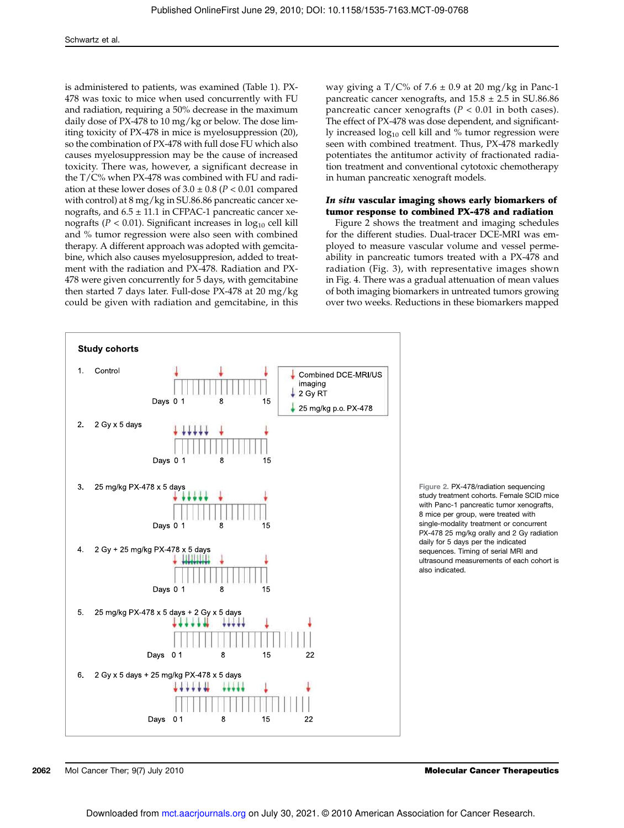is administered to patients, was examined (Table 1). PX-478 was toxic to mice when used concurrently with FU and radiation, requiring a 50% decrease in the maximum daily dose of PX-478 to 10 mg/kg or below. The dose limiting toxicity of PX-478 in mice is myelosuppression (20), so the combination of PX-478 with full dose FU which also causes myelosuppression may be the cause of increased toxicity. There was, however, a significant decrease in the T/C% when PX-478 was combined with FU and radiation at these lower doses of  $3.0 \pm 0.8$  ( $P < 0.01$  compared with control) at 8 mg/kg in SU.86.86 pancreatic cancer xenografts, and  $6.5 \pm 11.1$  in CFPAC-1 pancreatic cancer xenografts ( $P < 0.01$ ). Significant increases in  $log_{10}$  cell kill and % tumor regression were also seen with combined therapy. A different approach was adopted with gemcitabine, which also causes myelosuppresion, added to treatment with the radiation and PX-478. Radiation and PX-478 were given concurrently for 5 days, with gemcitabine then started 7 days later. Full-dose PX-478 at 20 mg/kg could be given with radiation and gemcitabine, in this

way giving a  $T/C\%$  of 7.6  $\pm$  0.9 at 20 mg/kg in Panc-1 pancreatic cancer xenografts, and  $15.8 \pm 2.5$  in SU.86.86 pancreatic cancer xenografts ( $P < 0.01$  in both cases). The effect of PX-478 was dose dependent, and significantly increased  $log_{10}$  cell kill and % tumor regression were seen with combined treatment. Thus, PX-478 markedly potentiates the antitumor activity of fractionated radiation treatment and conventional cytotoxic chemotherapy in human pancreatic xenograft models.

#### In situ vascular imaging shows early biomarkers of tumor response to combined PX-478 and radiation

Figure 2 shows the treatment and imaging schedules for the different studies. Dual-tracer DCE-MRI was employed to measure vascular volume and vessel permeability in pancreatic tumors treated with a PX-478 and radiation (Fig. 3), with representative images shown in Fig. 4. There was a gradual attenuation of mean values of both imaging biomarkers in untreated tumors growing over two weeks. Reductions in these biomarkers mapped



Figure 2. PX-478/radiation sequencing study treatment cohorts. Female SCID mice with Panc-1 pancreatic tumor xenografts, 8 mice per group, were treated with single-modality treatment or concurrent PX-478 25 mg/kg orally and 2 Gy radiation daily for 5 days per the indicated sequences. Timing of serial MRI and ultrasound measurements of each cohort is also indicated.

**2062** Mol Cancer Ther; 9(7) July 2010 Molecular Cancer Therapeutics Molecular Cancer Therapeutics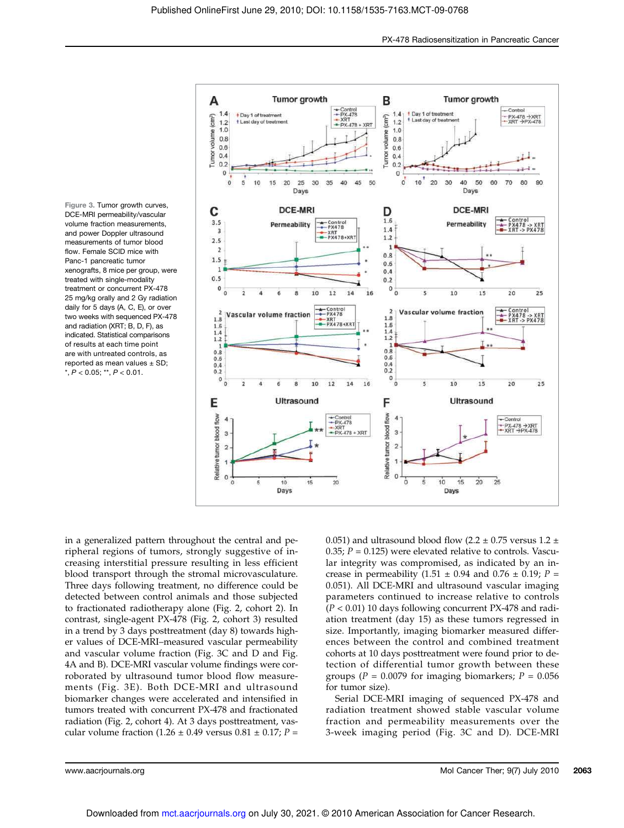



in a generalized pattern throughout the central and peripheral regions of tumors, strongly suggestive of increasing interstitial pressure resulting in less efficient blood transport through the stromal microvasculature. Three days following treatment, no difference could be detected between control animals and those subjected to fractionated radiotherapy alone (Fig. 2, cohort 2). In contrast, single-agent PX-478 (Fig. 2, cohort 3) resulted in a trend by 3 days posttreatment (day 8) towards higher values of DCE-MRI–measured vascular permeability and vascular volume fraction (Fig. 3C and D and Fig. 4A and B). DCE-MRI vascular volume findings were corroborated by ultrasound tumor blood flow measurements (Fig. 3E). Both DCE-MRI and ultrasound biomarker changes were accelerated and intensified in tumors treated with concurrent PX-478 and fractionated radiation (Fig. 2, cohort 4). At 3 days posttreatment, vascular volume fraction (1.26  $\pm$  0.49 versus 0.81  $\pm$  0.17; P =

0.051) and ultrasound blood flow (2.2  $\pm$  0.75 versus 1.2  $\pm$ 0.35;  $P = 0.125$ ) were elevated relative to controls. Vascular integrity was compromised, as indicated by an increase in permeability (1.51  $\pm$  0.94 and 0.76  $\pm$  0.19; P = 0.051). All DCE-MRI and ultrasound vascular imaging parameters continued to increase relative to controls  $(P < 0.01)$  10 days following concurrent PX-478 and radiation treatment (day 15) as these tumors regressed in size. Importantly, imaging biomarker measured differences between the control and combined treatment cohorts at 10 days posttreatment were found prior to detection of differential tumor growth between these groups ( $P = 0.0079$  for imaging biomarkers;  $P = 0.056$ for tumor size).

Serial DCE-MRI imaging of sequenced PX-478 and radiation treatment showed stable vascular volume fraction and permeability measurements over the 3-week imaging period (Fig. 3C and D). DCE-MRI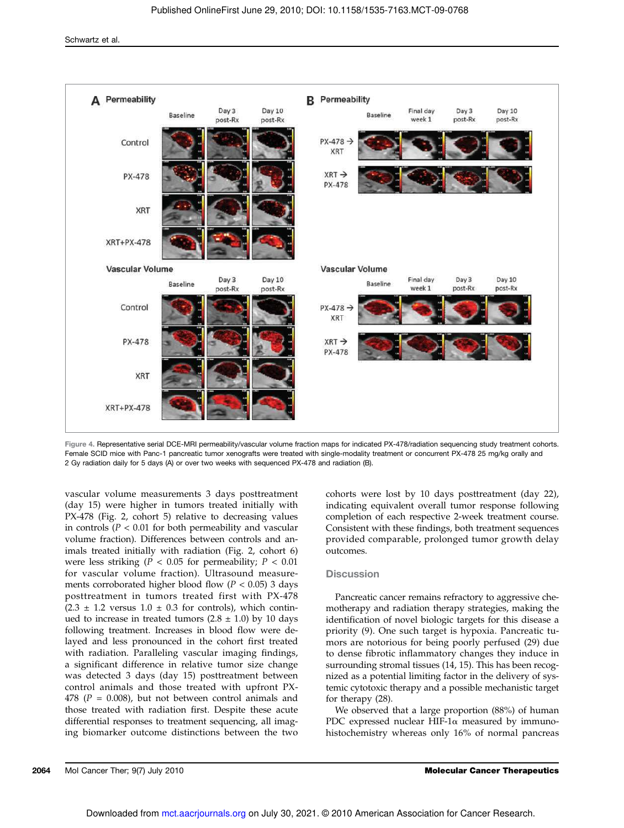

Figure 4. Representative serial DCE-MRI permeability/vascular volume fraction maps for indicated PX-478/radiation sequencing study treatment cohorts. Female SCID mice with Panc-1 pancreatic tumor xenografts were treated with single-modality treatment or concurrent PX-478 25 mg/kg orally and 2 Gy radiation daily for 5 days (A) or over two weeks with sequenced PX-478 and radiation (B).

vascular volume measurements 3 days posttreatment (day 15) were higher in tumors treated initially with PX-478 (Fig. 2, cohort 5) relative to decreasing values in controls ( $P < 0.01$  for both permeability and vascular volume fraction). Differences between controls and animals treated initially with radiation (Fig. 2, cohort 6) were less striking ( $P < 0.05$  for permeability;  $P < 0.01$ for vascular volume fraction). Ultrasound measurements corroborated higher blood flow ( $P < 0.05$ ) 3 days posttreatment in tumors treated first with PX-478  $(2.3 \pm 1.2 \text{ versus } 1.0 \pm 0.3 \text{ for controls})$ , which continued to increase in treated tumors  $(2.8 \pm 1.0)$  by 10 days following treatment. Increases in blood flow were delayed and less pronounced in the cohort first treated with radiation. Paralleling vascular imaging findings, a significant difference in relative tumor size change was detected 3 days (day 15) posttreatment between control animals and those treated with upfront PX-478 ( $P = 0.008$ ), but not between control animals and those treated with radiation first. Despite these acute differential responses to treatment sequencing, all imaging biomarker outcome distinctions between the two

cohorts were lost by 10 days posttreatment (day 22), indicating equivalent overall tumor response following completion of each respective 2-week treatment course. Consistent with these findings, both treatment sequences provided comparable, prolonged tumor growth delay outcomes.

# **Discussion**

Pancreatic cancer remains refractory to aggressive chemotherapy and radiation therapy strategies, making the identification of novel biologic targets for this disease a priority (9). One such target is hypoxia. Pancreatic tumors are notorious for being poorly perfused (29) due to dense fibrotic inflammatory changes they induce in surrounding stromal tissues (14, 15). This has been recognized as a potential limiting factor in the delivery of systemic cytotoxic therapy and a possible mechanistic target for therapy (28).

We observed that a large proportion (88%) of human PDC expressed nuclear HIF-1 $\alpha$  measured by immunohistochemistry whereas only 16% of normal pancreas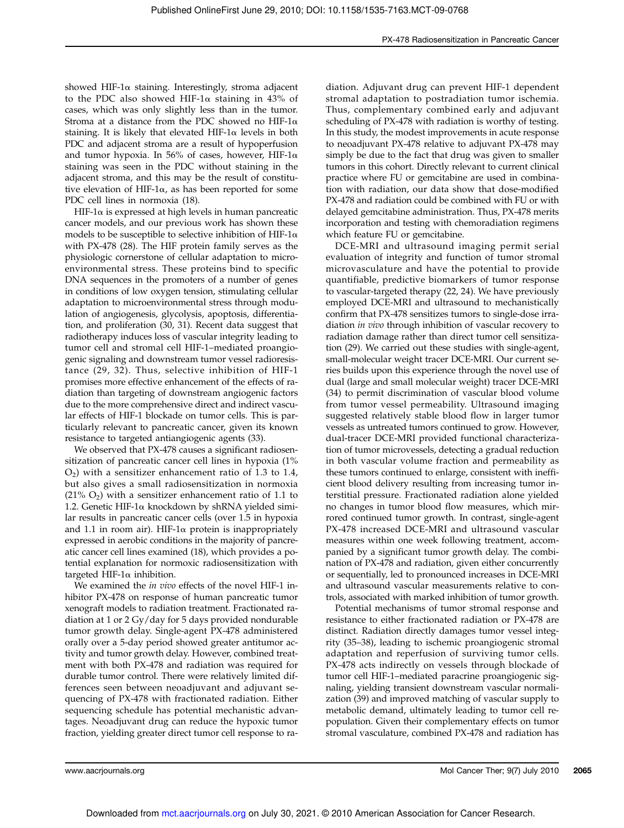showed HIF-1 $\alpha$  staining. Interestingly, stroma adjacent to the PDC also showed HIF-1 $\alpha$  staining in 43% of cases, which was only slightly less than in the tumor. Stroma at a distance from the PDC showed no HIF-1 $\alpha$ staining. It is likely that elevated HIF-1 $\alpha$  levels in both PDC and adjacent stroma are a result of hypoperfusion and tumor hypoxia. In 56% of cases, however, HIF-1α staining was seen in the PDC without staining in the adjacent stroma, and this may be the result of constitutive elevation of HIF-1α, as has been reported for some PDC cell lines in normoxia (18).

HIF-1 $\alpha$  is expressed at high levels in human pancreatic cancer models, and our previous work has shown these models to be susceptible to selective inhibition of HIF-1 $\alpha$ with PX-478 (28). The HIF protein family serves as the physiologic cornerstone of cellular adaptation to microenvironmental stress. These proteins bind to specific DNA sequences in the promoters of a number of genes in conditions of low oxygen tension, stimulating cellular adaptation to microenvironmental stress through modulation of angiogenesis, glycolysis, apoptosis, differentiation, and proliferation (30, 31). Recent data suggest that radiotherapy induces loss of vascular integrity leading to tumor cell and stromal cell HIF-1–mediated proangiogenic signaling and downstream tumor vessel radioresistance (29, 32). Thus, selective inhibition of HIF-1 promises more effective enhancement of the effects of radiation than targeting of downstream angiogenic factors due to the more comprehensive direct and indirect vascular effects of HIF-1 blockade on tumor cells. This is particularly relevant to pancreatic cancer, given its known resistance to targeted antiangiogenic agents (33).

We observed that PX-478 causes a significant radiosensitization of pancreatic cancer cell lines in hypoxia (1%  $O<sub>2</sub>$ ) with a sensitizer enhancement ratio of 1.3 to 1.4, but also gives a small radiosensitization in normoxia  $(21\% \text{ O}_2)$  with a sensitizer enhancement ratio of 1.1 to 1.2. Genetic HIF-1α knockdown by shRNA yielded similar results in pancreatic cancer cells (over 1.5 in hypoxia and 1.1 in room air). HIF-1 $\alpha$  protein is inappropriately expressed in aerobic conditions in the majority of pancreatic cancer cell lines examined (18), which provides a potential explanation for normoxic radiosensitization with targeted HIF-1α inhibition.

We examined the *in vivo* effects of the novel HIF-1 inhibitor PX-478 on response of human pancreatic tumor xenograft models to radiation treatment. Fractionated radiation at 1 or 2 Gy/day for 5 days provided nondurable tumor growth delay. Single-agent PX-478 administered orally over a 5-day period showed greater antitumor activity and tumor growth delay. However, combined treatment with both PX-478 and radiation was required for durable tumor control. There were relatively limited differences seen between neoadjuvant and adjuvant sequencing of PX-478 with fractionated radiation. Either sequencing schedule has potential mechanistic advantages. Neoadjuvant drug can reduce the hypoxic tumor fraction, yielding greater direct tumor cell response to ra-

diation. Adjuvant drug can prevent HIF-1 dependent stromal adaptation to postradiation tumor ischemia. Thus, complementary combined early and adjuvant scheduling of PX-478 with radiation is worthy of testing. In this study, the modest improvements in acute response to neoadjuvant PX-478 relative to adjuvant PX-478 may simply be due to the fact that drug was given to smaller tumors in this cohort. Directly relevant to current clinical practice where FU or gemcitabine are used in combination with radiation, our data show that dose-modified PX-478 and radiation could be combined with FU or with delayed gemcitabine administration. Thus, PX-478 merits incorporation and testing with chemoradiation regimens which feature FU or gemcitabine.

DCE-MRI and ultrasound imaging permit serial evaluation of integrity and function of tumor stromal microvasculature and have the potential to provide quantifiable, predictive biomarkers of tumor response to vascular-targeted therapy (22, 24). We have previously employed DCE-MRI and ultrasound to mechanistically confirm that PX-478 sensitizes tumors to single-dose irradiation in vivo through inhibition of vascular recovery to radiation damage rather than direct tumor cell sensitization (29). We carried out these studies with single-agent, small-molecular weight tracer DCE-MRI. Our current series builds upon this experience through the novel use of dual (large and small molecular weight) tracer DCE-MRI (34) to permit discrimination of vascular blood volume from tumor vessel permeability. Ultrasound imaging suggested relatively stable blood flow in larger tumor vessels as untreated tumors continued to grow. However, dual-tracer DCE-MRI provided functional characterization of tumor microvessels, detecting a gradual reduction in both vascular volume fraction and permeability as these tumors continued to enlarge, consistent with inefficient blood delivery resulting from increasing tumor interstitial pressure. Fractionated radiation alone yielded no changes in tumor blood flow measures, which mirrored continued tumor growth. In contrast, single-agent PX-478 increased DCE-MRI and ultrasound vascular measures within one week following treatment, accompanied by a significant tumor growth delay. The combination of PX-478 and radiation, given either concurrently or sequentially, led to pronounced increases in DCE-MRI and ultrasound vascular measurements relative to controls, associated with marked inhibition of tumor growth.

Potential mechanisms of tumor stromal response and resistance to either fractionated radiation or PX-478 are distinct. Radiation directly damages tumor vessel integrity (35–38), leading to ischemic proangiogenic stromal adaptation and reperfusion of surviving tumor cells. PX-478 acts indirectly on vessels through blockade of tumor cell HIF-1–mediated paracrine proangiogenic signaling, yielding transient downstream vascular normalization (39) and improved matching of vascular supply to metabolic demand, ultimately leading to tumor cell repopulation. Given their complementary effects on tumor stromal vasculature, combined PX-478 and radiation has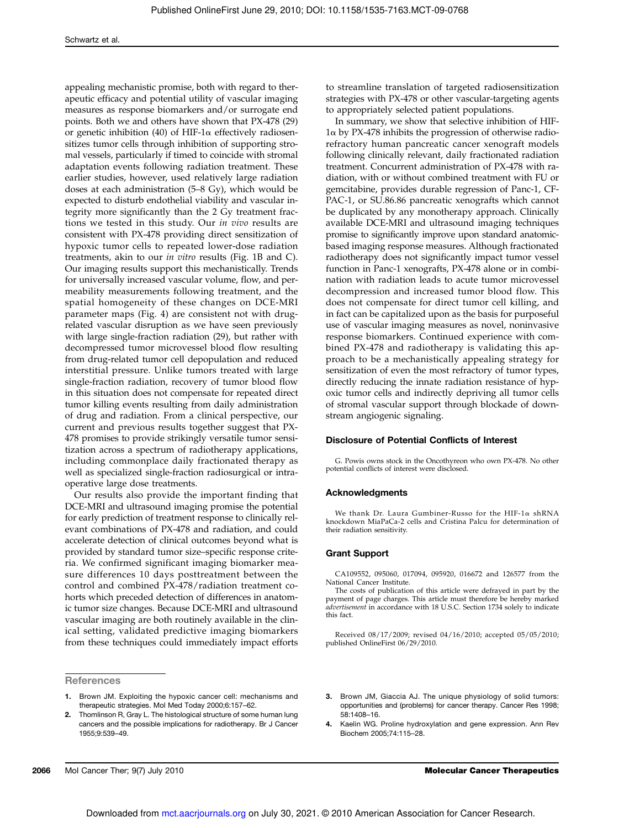appealing mechanistic promise, both with regard to therapeutic efficacy and potential utility of vascular imaging measures as response biomarkers and/or surrogate end points. Both we and others have shown that PX-478 (29) or genetic inhibition (40) of HIF-1α effectively radiosensitizes tumor cells through inhibition of supporting stromal vessels, particularly if timed to coincide with stromal adaptation events following radiation treatment. These earlier studies, however, used relatively large radiation doses at each administration (5–8 Gy), which would be expected to disturb endothelial viability and vascular integrity more significantly than the 2 Gy treatment fractions we tested in this study. Our in vivo results are consistent with PX-478 providing direct sensitization of hypoxic tumor cells to repeated lower-dose radiation treatments, akin to our in vitro results (Fig. 1B and C). Our imaging results support this mechanistically. Trends for universally increased vascular volume, flow, and permeability measurements following treatment, and the spatial homogeneity of these changes on DCE-MRI parameter maps (Fig. 4) are consistent not with drugrelated vascular disruption as we have seen previously with large single-fraction radiation (29), but rather with decompressed tumor microvessel blood flow resulting from drug-related tumor cell depopulation and reduced interstitial pressure. Unlike tumors treated with large single-fraction radiation, recovery of tumor blood flow in this situation does not compensate for repeated direct tumor killing events resulting from daily administration of drug and radiation. From a clinical perspective, our current and previous results together suggest that PX-478 promises to provide strikingly versatile tumor sensitization across a spectrum of radiotherapy applications, including commonplace daily fractionated therapy as well as specialized single-fraction radiosurgical or intraoperative large dose treatments.

Our results also provide the important finding that DCE-MRI and ultrasound imaging promise the potential for early prediction of treatment response to clinically relevant combinations of PX-478 and radiation, and could accelerate detection of clinical outcomes beyond what is provided by standard tumor size–specific response criteria. We confirmed significant imaging biomarker measure differences 10 days posttreatment between the control and combined PX-478/radiation treatment cohorts which preceded detection of differences in anatomic tumor size changes. Because DCE-MRI and ultrasound vascular imaging are both routinely available in the clinical setting, validated predictive imaging biomarkers from these techniques could immediately impact efforts

**References** 

- 1. Brown JM. Exploiting the hypoxic cancer cell: mechanisms and therapeutic strategies. Mol Med Today 2000;6:157–62.
- Thomlinson R, Gray L. The histological structure of some human lung cancers and the possible implications for radiotherapy. Br J Cancer 1955;9:539–49.

to streamline translation of targeted radiosensitization strategies with PX-478 or other vascular-targeting agents to appropriately selected patient populations.

In summary, we show that selective inhibition of HIF-1α by PX-478 inhibits the progression of otherwise radiorefractory human pancreatic cancer xenograft models following clinically relevant, daily fractionated radiation treatment. Concurrent administration of PX-478 with radiation, with or without combined treatment with FU or gemcitabine, provides durable regression of Panc-1, CF-PAC-1, or SU.86.86 pancreatic xenografts which cannot be duplicated by any monotherapy approach. Clinically available DCE-MRI and ultrasound imaging techniques promise to significantly improve upon standard anatomicbased imaging response measures. Although fractionated radiotherapy does not significantly impact tumor vessel function in Panc-1 xenografts, PX-478 alone or in combination with radiation leads to acute tumor microvessel decompression and increased tumor blood flow. This does not compensate for direct tumor cell killing, and in fact can be capitalized upon as the basis for purposeful use of vascular imaging measures as novel, noninvasive response biomarkers. Continued experience with combined PX-478 and radiotherapy is validating this approach to be a mechanistically appealing strategy for sensitization of even the most refractory of tumor types, directly reducing the innate radiation resistance of hypoxic tumor cells and indirectly depriving all tumor cells of stromal vascular support through blockade of downstream angiogenic signaling.

#### Disclosure of Potential Conflicts of Interest

G. Powis owns stock in the Oncothyreon who own PX-478. No other potential conflicts of interest were disclosed.

#### Acknowledgments

We thank Dr. Laura Gumbiner-Russo for the HIF-1α shRNA knockdown MiaPaCa-2 cells and Cristina Palcu for determination of their radiation sensitivity.

#### Grant Support

CA109552, 095060, 017094, 095920, 016672 and 126577 from the National Cancer Institute.

The costs of publication of this article were defrayed in part by the payment of page charges. This article must therefore be hereby marked advertisement in accordance with 18 U.S.C. Section 1734 solely to indicate this fact.

Received 08/17/2009; revised 04/16/2010; accepted 05/05/2010; published OnlineFirst 06/29/2010.

- 3. Brown JM, Giaccia AJ. The unique physiology of solid tumors: opportunities and (problems) for cancer therapy. Cancer Res 1998; 58:1408–16.
- 4. Kaelin WG. Proline hydroxylation and gene expression. Ann Rev Biochem 2005;74:115–28.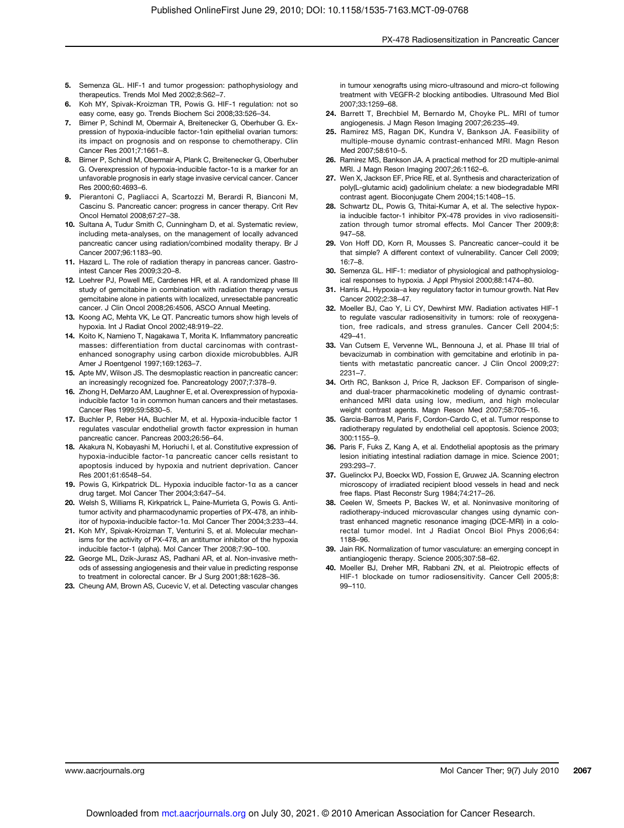- 5. Semenza GL. HIF-1 and tumor progession: pathophysiology and therapeutics. Trends Mol Med 2002;8:S62–7.
- 6. Koh MY, Spivak-Kroizman TR, Powis G. HIF-1 regulation: not so easy come, easy go. Trends Biochem Sci 2008;33:526–34.
- 7. Birner P, Schindl M, Obermair A, Breitenecker G, Oberhuber G. Expression of hypoxia-inducible factor-1αin epithelial ovarian tumors: its impact on prognosis and on response to chemotherapy. Clin Cancer Res 2001;7:1661–8.
- Birner P, Schindl M, Obermair A, Plank C, Breitenecker G, Oberhuber G. Overexpression of hypoxia-inducible factor-1α is a marker for an unfavorable prognosis in early stage invasive cervical cancer. Cancer Res 2000;60:4693–6.
- 9. Pierantoni C, Pagliacci A, Scartozzi M, Berardi R, Bianconi M, Cascinu S. Pancreatic cancer: progress in cancer therapy. Crit Rev Oncol Hematol 2008;67:27–38.
- 10. Sultana A, Tudur Smith C, Cunningham D, et al. Systematic review, including meta-analyses, on the management of locally advanced pancreatic cancer using radiation/combined modality therapy. Br J Cancer 2007;96:1183–90.
- 11. Hazard L. The role of radiation therapy in pancreas cancer. Gastrointest Cancer Res 2009;3:20–8.
- 12. Loehrer PJ, Powell ME, Cardenes HR, et al. A randomized phase III study of gemcitabine in combination with radiation therapy versus gemcitabine alone in patients with localized, unresectable pancreatic cancer. J Clin Oncol 2008;26:4506, ASCO Annual Meeting.
- 13. Koong AC, Mehta VK, Le QT. Pancreatic tumors show high levels of hypoxia. Int J Radiat Oncol 2002;48:919–22.
- 14. Koito K, Namieno T, Nagakawa T, Morita K. Inflammatory pancreatic masses: differentiation from ductal carcinomas with contrastenhanced sonography using carbon dioxide microbubbles. AJR Amer J Roentgenol 1997;169:1263–7.
- 15. Apte MV, Wilson JS. The desmoplastic reaction in pancreatic cancer: an increasingly recognized foe. Pancreatology 2007;7:378–9.
- 16. Zhong H, DeMarzo AM, Laughner E, et al. Overexpression of hypoxiainducible factor 1α in common human cancers and their metastases. Cancer Res 1999;59:5830–5.
- 17. Buchler P, Reber HA, Buchler M, et al. Hypoxia-inducible factor 1 regulates vascular endothelial growth factor expression in human pancreatic cancer. Pancreas 2003;26:56–64.
- 18. Akakura N, Kobayashi M, Horiuchi I, et al. Constitutive expression of hypoxia-inducible factor-1α pancreatic cancer cells resistant to apoptosis induced by hypoxia and nutrient deprivation. Cancer Res 2001;61:6548–54.
- 19. Powis G, Kirkpatrick DL. Hypoxia inducible factor-1α as a cancer drug target. Mol Cancer Ther 2004;3:647–54.
- 20. Welsh S, Williams R, Kirkpatrick L, Paine-Murrieta G, Powis G. Antitumor activity and pharmacodynamic properties of PX-478, an inhibitor of hypoxia-inducible factor-1α. Mol Cancer Ther 2004;3:233–44.
- 21. Koh MY, Spivak-Kroizman T, Venturini S, et al. Molecular mechanisms for the activity of PX-478, an antitumor inhibitor of the hypoxia inducible factor-1 (alpha). Mol Cancer Ther 2008;7:90–100.
- 22. George ML, Dzik-Jurasz AS, Padhani AR, et al. Non-invasive methods of assessing angiogenesis and their value in predicting response to treatment in colorectal cancer. Br J Surg 2001;88:1628–36.
- 23. Cheung AM, Brown AS, Cucevic V, et al. Detecting vascular changes

in tumour xenografts using micro-ultrasound and micro-ct following treatment with VEGFR-2 blocking antibodies. Ultrasound Med Biol 2007;33:1259–68.

- 24. Barrett T, Brechbiel M, Bernardo M, Choyke PL. MRI of tumor angiogenesis. J Magn Reson Imaging 2007;26:235–49.
- 25. Ramirez MS, Ragan DK, Kundra V, Bankson JA. Feasibility of multiple-mouse dynamic contrast-enhanced MRI. Magn Reson Med 2007;58:610–5.
- 26. Ramirez MS, Bankson JA. A practical method for 2D multiple-animal MRI. J Magn Reson Imaging 2007;26:1162–6.
- 27. Wen X, Jackson EF, Price RE, et al. Synthesis and characterization of poly(L-glutamic acid) gadolinium chelate: a new biodegradable MRI contrast agent. Bioconjugate Chem 2004;15:1408–15.
- 28. Schwartz DL, Powis G, Thitai-Kumar A, et al. The selective hypoxia inducible factor-1 inhibitor PX-478 provides in vivo radiosensitization through tumor stromal effects. Mol Cancer Ther 2009;8: 947–58.
- 29. Von Hoff DD, Korn R, Mousses S. Pancreatic cancer–could it be that simple? A different context of vulnerability. Cancer Cell 2009; 16:7–8.
- 30. Semenza GL, HIF-1: mediator of physiological and pathophysiological responses to hypoxia. J Appl Physiol 2000;88:1474–80.
- 31. Harris AL. Hypoxia–a key regulatory factor in tumour growth. Nat Rev Cancer 2002;2:38–47.
- 32. Moeller BJ, Cao Y, Li CY, Dewhirst MW. Radiation activates HIF-1 to regulate vascular radiosensitivity in tumors: role of reoxygenation, free radicals, and stress granules. Cancer Cell 2004;5: 429–41.
- 33. Van Cutsem E, Vervenne WL, Bennouna J, et al. Phase III trial of bevacizumab in combination with gemcitabine and erlotinib in patients with metastatic pancreatic cancer. J Clin Oncol 2009;27: 2231–7.
- 34. Orth RC, Bankson J, Price R, Jackson EF. Comparison of singleand dual-tracer pharmacokinetic modeling of dynamic contrastenhanced MRI data using low, medium, and high molecular weight contrast agents. Magn Reson Med 2007;58:705–16.
- 35. Garcia-Barros M, Paris F, Cordon-Cardo C, et al. Tumor response to radiotherapy regulated by endothelial cell apoptosis. Science 2003; 300:1155–9.
- 36. Paris F, Fuks Z, Kang A, et al. Endothelial apoptosis as the primary lesion initiating intestinal radiation damage in mice. Science 2001; 293:293–7.
- 37. Guelinckx PJ, Boeckx WD, Fossion E, Gruwez JA. Scanning electron microscopy of irradiated recipient blood vessels in head and neck free flaps. Plast Reconstr Surg 1984;74:217–26.
- 38. Ceelen W, Smeets P, Backes W, et al. Noninvasive monitoring of radiotherapy-induced microvascular changes using dynamic contrast enhanced magnetic resonance imaging (DCE-MRI) in a colorectal tumor model. Int J Radiat Oncol Biol Phys 2006;64: 1188–96.
- 39. Jain RK. Normalization of tumor vasculature: an emerging concept in antiangiogenic therapy. Science 2005;307:58–62.
- 40. Moeller BJ, Dreher MR, Rabbani ZN, et al. Pleiotropic effects of HIF-1 blockade on tumor radiosensitivity. Cancer Cell 2005;8: 99–110.